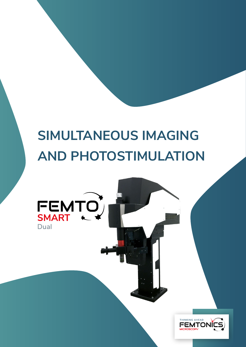# **SIMULTANEOUS IMAGING AND PHOTOSTIMULATION**

FEMTO)

Dual

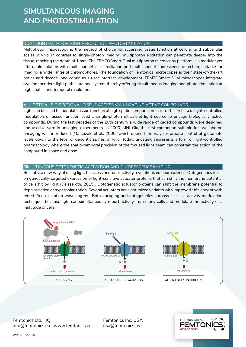## **SIMULTANEOUS IMAGING AND PHOTOSTIMULATION**

#### DUAL LIGHT PATH FOR HIGH-RESOLUTION PHOTOSTIMULATION

Multiphoton microscopy is the method of choice for accessing tissue function at cellular and subcellular scales *in vivo*. In contrast to single-photon imaging, multiphoton excitation can penetrate deeper into the tissue, reaching the depth of 1 mm. The FEMTOSmart Dual multiphoton microscopy platform is a modular yet affordable solution with multichannel laser excitation and multichannel fluorescence detection, suitable for imaging a wide range of chromophores. The foundation of Femtonics microscopes is their state-of-the-art optics and decade-long continuous user interface development. FEMTOSmart Dual microscopes integrate two independent light paths into one system thereby offering simultaneous imaging and photostimulation at high spatial and temporal resolution.

#### ALL-OPTICAL BIDIRECTIONAL TISSUE ACCESS VIA UNCAGING ACTIVE COMPOUNDS

Light can be used to modulate tissue function at high spatio-temporal precision. The first era of light-controlled modulation of tissue function used a single-photon ultraviolet light source to uncage biologically active compounds. During the last decades of the 20th century a wide range of caged compounds were designed and used *in vitro* in uncaging experiments. In 2000, MNI-Glu, the first compound suitable for two-photon uncaging was introduced (Matsuzaki et al., 2000) which opened the way for precise control of glutamate levels down to the level of dendritic spines, in vivo. Today, uncaging represents a form of light-controlled pharmacology where the spatio-temporal precision of the focused light beam can constrain the action of the compound in space and dose.

#### SIMULTANEOUS OPTOGENETIC ACTIVATION AND FLUORESCENCE IMAGING cell excitation or inhibition

.<br>Recently, a new way of using light to access neuronal activity revolutionized neuroscience. Optogenetics relies on genetically-targeted expression of light-sensitive actuator proteins that can shift the membrane potential of cells hit by light (Deisseroth, 2015). Optogenetic actuator proteins can shift the membrane potential to depolarization or hyperpolarization. Several actuators have optimized variants with improved efficiency or with red-shifted excitation wavelengths. Both uncaging and optogenetics surpass classical activity modulation techniques because light can simultaneously report activity from many cells and modulate the activity of a multitude of cells. neurotransmitter  $b:H+1$ 



Femtonics Ltd. HQ info@femtonics.eu | www.femtonics.eu cell excitation

Femtonics Inc. USA usa@femtonics.us

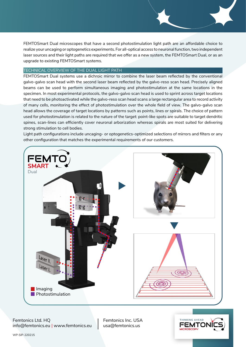FEMTOSmart Dual microscopes that have a second photostimulation light path are an affordable choice to realize your uncaging or optogenetics experiments. For all-optical access to neuronal function, two independent laser sources and their light paths are required that we offer as a new system, the FEMTOSmart Dual, or as an upgrade to existing FEMTOSmart systems.

#### TECHNICAL OVERVIEW OF THE DUAL LIGHT PATH

FEMTOSmart Dual systems use a dichroic mirror to combine the laser beam reflected by the conventional galvo-galvo scan head with the second laser beam reflected by the galvo-reso scan head. Precisely aligned beams can be used to perform simultaneous imaging and photostimulation at the same locations in the specimen. In most experimental protocols, the galvo-galvo scan head is used to sprint across target locations that need to be photoactivated while the galvo-reso scan head scans a large rectangular area to record activity of many cells, monitoring the effect of photostimulation over the whole field of view. The galvo-galvo scan head allows the coverage of target locations by patterns such as points, lines or spirals. The choice of pattern used for photostimulation is related to the nature of the target: point-like spots are suitable to target dendritic spines, scan-lines can efficiently cover neuronal arborization whereas spirals are most suited for delivering strong stimulation to cell bodies.

Light path configurations include uncaging- or optogenetics-optimized selections of mirrors and filters or any other configuration that matches the experimental requirements of our customers.



Femtonics Ltd. HQ info@femtonics.eu | www.femtonics.eu Femtonics Inc. USA usa@femtonics.us